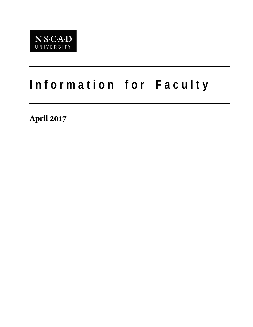

# **I n f o r m a t i o n f o r F a c u l t y**

**April 2017**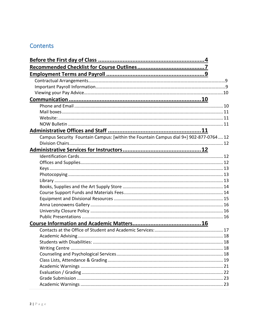# Contents

| Campus Security Fountain Campus: [within the Fountain Campus dial 9+] 902-877-0764 12 |  |
|---------------------------------------------------------------------------------------|--|
|                                                                                       |  |
|                                                                                       |  |
|                                                                                       |  |
|                                                                                       |  |
|                                                                                       |  |
|                                                                                       |  |
|                                                                                       |  |
|                                                                                       |  |
|                                                                                       |  |
|                                                                                       |  |
|                                                                                       |  |
|                                                                                       |  |
|                                                                                       |  |
|                                                                                       |  |
|                                                                                       |  |
|                                                                                       |  |
|                                                                                       |  |
|                                                                                       |  |
|                                                                                       |  |
|                                                                                       |  |
|                                                                                       |  |
|                                                                                       |  |
|                                                                                       |  |
|                                                                                       |  |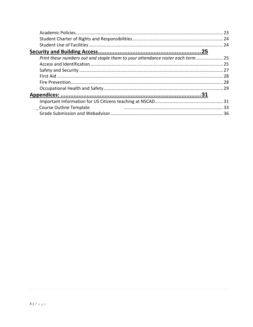| Print these numbers out and staple them to your attendance roster each term 25 |     |
|--------------------------------------------------------------------------------|-----|
|                                                                                |     |
|                                                                                |     |
|                                                                                | -28 |
|                                                                                |     |
|                                                                                |     |
|                                                                                |     |
|                                                                                |     |
| Course Outline Template                                                        |     |
|                                                                                | 36  |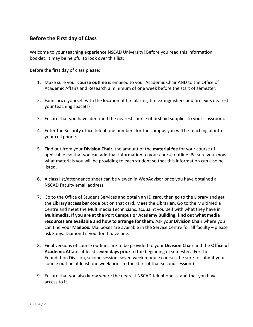# <span id="page-3-0"></span>**Before the First day of Class**

Welcome to your teaching experience NSCAD University! Before you read this information booklet, it may be helpful to look over this list;

Before the first day of class please:

- 1. Make sure your **course outline** is emailed to your Academic Chair AND to the Office of Academic Affairs and Research a minimum of one week before the start of semester.
- 2. Familiarize yourself with the location of fire alarms, fire extinguishers and fire exits nearest your teaching space(s)
- 3. Ensure that you have identified the nearest source of first aid supplies to your classroom.
- 4. Enter the Security office telephone numbers for the campus you will be teaching at into your cell phone.
- 5. Find out from your **Division Chair**, the amount of the **material fee** for your course (if applicable) so that you can add that information to your course outline. Be sure you know what materials you will be providing to each student so that this information can also be listed.
- **6.** A class list/attendance sheet can be viewed in WebAdvisor once you have obtained a NSCAD Faculty email address.
- 7. Go to the Office of Student Services and obtain an **ID card,** then go to the Library and get the **Library access bar code** put on that card. Meet the **Librarian**. Go to the Multimedia Centre and meet the Multimedia Technicians, acquaint yourself with what they have in **Multimedia. If you are at the Port Campus or Academy Building, find out what media resources are available and how to arrange for them.** Ask your **Division Chair** where you can find your **Mailbox.** Mailboxes are available in the Service Centre for all faculty – please ask Sonya Diamond if you don't have one.
- 8. Final versions of course outlines are to be provided to your **Division Chair** and the **Office of Academic Affairs** at least **seven days prior** to the beginning of semester. (For the Foundation Division, second session, seven week module courses, be sure to submit your course outline at least one week prior to the start of that second session.)
- 9. Ensure that you also know where the nearest NSCAD telephone is, and that you have access to it.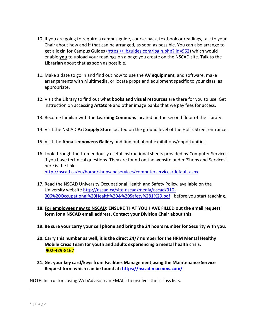- 10. If you are going to require a campus guide, course-pack, textbook or readings, talk to your Chair about how and if that can be arranged, as soon as possible. You can also arrange to get a login for Campus Guides [\(https://libguides.com/login.php?iid=962\)](https://libguides.com/login.php?iid=962) which would enable **you** to upload your readings on a page you create on the NSCAD site. Talk to the **Librarian** about that as soon as possible.
- 11. Make a date to go in and find out how to use the **AV equipment**, and software, make arrangements with Multimedia, or locate props and equipment specific to your class, as appropriate.
- 12. Visit the **Library** to find out what **books and visual resources** are there for you to use. Get instruction on accessing **ArtStore** and other image banks that we pay fees for access.
- 13. Become familiar with the **Learning Commons** located on the second floor of the Library.
- 14. Visit the NSCAD **Art Supply Store** located on the ground level of the Hollis Street entrance.
- 15. Visit the **Anna Leonowens Gallery** and find out about exhibitions/opportunities.
- 16. Look through the tremendously useful instructional sheets provided by Computer Services if you have technical questions. They are found on the website under 'Shops and Services', here is the link: <http://nscad.ca/en/home/shopsandservices/computerservices/default.aspx>
- 17. Read the NSCAD University Occupational Health and Safety Policy, available on the University website [http://nscad.ca/site-nscad/media/nscad/310-](http://nscad.ca/site-nscad/media/nscad/310-006%20Occupational%20Health%20&%20Safety%281%29.pdf) [006%20Occupational%20Health%20&%20Safety%281%29.pdf](http://nscad.ca/site-nscad/media/nscad/310-006%20Occupational%20Health%20&%20Safety%281%29.pdf) ; before you start teaching.
- **18. For employees new to NSCAD: ENSURE THAT YOU HAVE FILLED out the email request form for a NSCAD email address. Contact your Division Chair about this.**
- **19. Be sure your carry your cell phone and bring the 24 hours number for Security with you.**
- **20. Carry this number as well, it is the direct 24/7 number for the HRM Mental Healthy Mobile Crisis Team for youth and adults experiencing a mental health crisis. 902-429-8167**
- **21. Get your key card/keys from Facilities Management using the Maintenance Service Request form which can be found at:<https://nscad.macmms.com/>**

NOTE: Instructors using WebAdvisor can EMAIL themselves their class lists.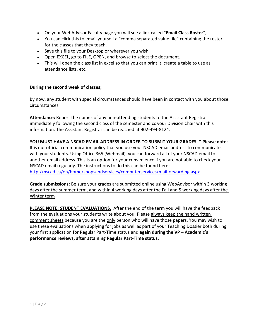- On your WebAdvisor Faculty page you will see a link called "**Email Class Roster",**
- You can click this to email yourself a "comma separated value file" containing the roster for the classes that they teach.
- Save this file to your Desktop or wherever you wish.
- Open EXCEL, go to FILE, OPEN, and browse to select the document.
- This will open the class list in excel so that you can print it, create a table to use as attendance lists, etc.

#### **During the second week of classes;**

By now, any student with special circumstances should have been in contact with you about those circumstances.

**Attendance:** Report the names of any non-attending students to the Assistant Registrar immediately following the second class of the semester and cc your Division Chair with this information. The Assistant Registrar can be reached at 902-494-8124.

#### **YOU MUST HAVE A NSCAD EMAIL ADDRESS IN ORDER TO SUBMIT YOUR GRADES. \* Please note:**

It is our official communication policy that you use your NSCAD email address to communicate with your students. Using Office 365 (Webmail), you can forward all of your NSCAD email to another email address. This is an option for your convenience if you are not able to check your NSCAD email regularly. The instructions to do this can be found here: <http://nscad.ca/en/home/shopsandservices/computerservices/mailforwarding.aspx>

**Grade submissions:** Be sure your grades are submitted online using WebAdvisor within 3 working days after the summer term, and within 4 working days after the Fall and 5 working days after the Winter term

**PLEASE NOTE: STUDENT EVALUATIONS.** After the end of the term you will have the feedback from the evaluations your students write about you. Please always keep the hand written comment sheets because you are the only person who will have those papers. You may wish to use these evaluations when applying for jobs as well as part of your Teaching Dossier both during your first application for Regular Part-Time status and **again during the VP – Academic's performance reviews, after attaining Regular Part-Time status.**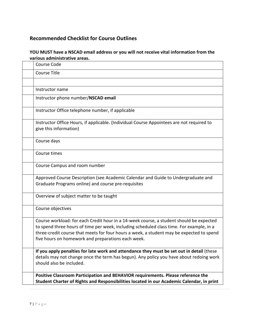# <span id="page-6-0"></span>**Recommended Checklist for Course Outlines**

## **YOU MUST have a NSCAD email address or you will not receive vital information from the various administrative areas.**

| Course Code                                                                                                                                                                                                                                                                                                                           |
|---------------------------------------------------------------------------------------------------------------------------------------------------------------------------------------------------------------------------------------------------------------------------------------------------------------------------------------|
| <b>Course Title</b>                                                                                                                                                                                                                                                                                                                   |
|                                                                                                                                                                                                                                                                                                                                       |
| Instructor name                                                                                                                                                                                                                                                                                                                       |
| Instructor phone number/NSCAD email                                                                                                                                                                                                                                                                                                   |
| Instructor Office telephone number, if applicable                                                                                                                                                                                                                                                                                     |
| Instructor Office Hours, if applicable. (Individual Course Appointees are not required to<br>give this information)                                                                                                                                                                                                                   |
| Course days                                                                                                                                                                                                                                                                                                                           |
| Course times                                                                                                                                                                                                                                                                                                                          |
| Course Campus and room number                                                                                                                                                                                                                                                                                                         |
| Approved Course Description (see Academic Calendar and Guide to Undergraduate and<br>Graduate Programs online) and course pre-requisites                                                                                                                                                                                              |
| Overview of subject matter to be taught                                                                                                                                                                                                                                                                                               |
| Course objectives                                                                                                                                                                                                                                                                                                                     |
| Course workload: for each Credit hour in a 14-week course, a student should be expected<br>to spend three hours of time per week, including scheduled class time. For example, in a<br>three-credit course that meets for four hours a week, a student may be expected to spend<br>five hours on homework and preparations each week. |
| If you apply penalties for late work and attendance they must be set out in detail (these<br>details may not change once the term has begun). Any policy you have about redoing work<br>should also be included.                                                                                                                      |
| Positive Classroom Participation and BEHAVIOR requirements. Please reference the<br>Student Charter of Rights and Responsibilities located in our Academic Calendar, in print                                                                                                                                                         |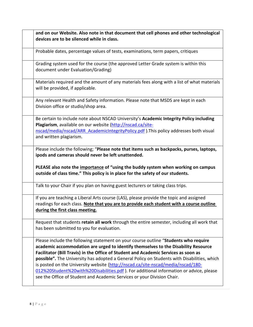| and on our Website. Also note in that document that cell phones and other technological<br>devices are to be silenced while in class.                                                                                                                                                                                                                                                                                                                                                                                                                                                                                    |
|--------------------------------------------------------------------------------------------------------------------------------------------------------------------------------------------------------------------------------------------------------------------------------------------------------------------------------------------------------------------------------------------------------------------------------------------------------------------------------------------------------------------------------------------------------------------------------------------------------------------------|
| Probable dates, percentage values of tests, examinations, term papers, critiques                                                                                                                                                                                                                                                                                                                                                                                                                                                                                                                                         |
| Grading system used for the course (the approved Letter Grade system is within this<br>document under Evaluation/Grading)                                                                                                                                                                                                                                                                                                                                                                                                                                                                                                |
| Materials required and the amount of any materials fees along with a list of what materials<br>will be provided, if applicable.                                                                                                                                                                                                                                                                                                                                                                                                                                                                                          |
| Any relevant Health and Safety information. Please note that MSDS are kept in each<br>Division office or studio/shop area.                                                                                                                                                                                                                                                                                                                                                                                                                                                                                               |
| Be certain to include note about NSCAD University's Academic Integrity Policy including<br>Plagiarism, available on our website (http://nscad.ca/site-<br>nscad/media/nscad/ARR_AcademicIntegrityPolicy.pdf ). This policy addresses both visual<br>and written plagiarism.                                                                                                                                                                                                                                                                                                                                              |
| Please include the following; "Please note that items such as backpacks, purses, laptops,<br>ipods and cameras should never be left unattended.<br>PLEASE also note the importance of "using the buddy system when working on campus<br>outside of class time." This policy is in place for the safety of our students.                                                                                                                                                                                                                                                                                                  |
| Talk to your Chair if you plan on having guest lecturers or taking class trips.                                                                                                                                                                                                                                                                                                                                                                                                                                                                                                                                          |
| If you are teaching a Liberal Arts course (LAS), please provide the topic and assigned<br>readings for each class. Note that you are to provide each student with a course outline<br>during the first class meeting.                                                                                                                                                                                                                                                                                                                                                                                                    |
| Request that students retain all work through the entire semester, including all work that<br>has been submitted to you for evaluation.                                                                                                                                                                                                                                                                                                                                                                                                                                                                                  |
| Please include the following statement on your course outline "Students who require<br>academic accommodation are urged to identify themselves to the Disability Resource<br>Facilitator (Bill Travis) in the Office of Student and Academic Services as soon as<br>possible". The University has adopted a General Policy on Students with Disabilities, which<br>is posted on the University website (http://nscad.ca/site-nscad/media/nscad/180-<br>012%20Student%20with%20Disabilities.pdf). For additional information or advice, please<br>see the Office of Student and Academic Services or your Division Chair. |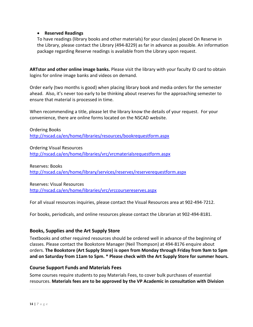#### • **Reserved Readings**

To have readings (library books and other materials) for your class(es) placed On Reserve in the Library, please contact the Library (494-8229) as far in advance as possible. An information package regarding Reserve readings is available from the Library upon request.

**ARTstor and other online image banks.** Please visit the library with your faculty ID card to obtain logins for online image banks and videos on demand.

Order early (two months is good) when placing library book and media orders for the semester ahead. Also, it's never too early to be thinking about reserves for the approaching semester to ensure that material is processed in time.

When recommending a title, please let the library know the details of your request. For your convenience, there are online forms located on the NSCAD website.

Ordering Books <http://nscad.ca/en/home/libraries/resources/bookrequestform.aspx>

Ordering Visual Resources <http://nscad.ca/en/home/libraries/vrc/vrcmaterialsrequestform.aspx>

Reserves: Books <http://nscad.ca/en/home/library/services/reserves/reserverequestform.aspx>

Reserves: Visual Resources <http://nscad.ca/en/home/libraries/vrc/vrccoursereserves.aspx>

For all visual resources inquiries, please contact the Visual Resources area at 902-494-7212.

For books, periodicals, and online resources please contact the Librarian at 902-494-8181.

## <span id="page-13-0"></span>**Books, Supplies and the Art Supply Store**

Textbooks and other required resources should be ordered well in advance of the beginning of classes. Please contact the Bookstore Manager (Neil Thompson) at 494-8176 enquire about orders. **The Bookstore (Art Supply Store) is open from Monday through Friday from 9am to 5pm and on Saturday from 11am to 5pm. \* Please check with the Art Supply Store for summer hours.** 

#### <span id="page-13-1"></span>**Course Support Funds and Materials Fees**

Some courses require students to pay Materials Fees, to cover bulk purchases of essential resources. **Materials fees are to be approved by the VP Academic in consultation with Division**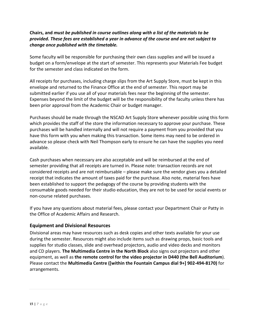## **Chairs, and** *must be published in course outlines along with a list of the materials to be provided. These fees are established a year in advance of the course and are not subject to change once published with the timetable.*

Some faculty will be responsible for purchasing their own class supplies and will be issued a budget on a form/envelope at the start of semester. This represents your Materials Fee budget for the semester and class indicated on the form.

All receipts for purchases, including charge slips from the Art Supply Store, must be kept in this envelope and returned to the Finance Office at the end of semester. This report may be submitted earlier if you use all of your materials fees near the beginning of the semester. Expenses beyond the limit of the budget will be the responsibility of the faculty unless there has been prior approval from the Academic Chair or budget manager.

Purchases should be made through the NSCAD Art Supply Store whenever possible using this form which provides the staff of the store the information necessary to approve your purchase. These purchases will be handled internally and will not require a payment from you provided that you have this form with you when making this transaction. Some items may need to be ordered in advance so please check with Neil Thompson early to ensure he can have the supplies you need available.

Cash purchases when necessary are also acceptable and will be reimbursed at the end of semester providing that all receipts are turned in. Please note: transaction records are not considered receipts and are not reimbursable – please make sure the vendor gives you a detailed receipt that indicates the amount of taxes paid for the purchase. Also note, material fees have been established to support the pedagogy of the course by providing students with the consumable goods needed for their studio education, they are not to be used for social events or non-course related purchases.

If you have any questions about material fees, please contact your Department Chair or Patty in the Office of Academic Affairs and Research.

# <span id="page-14-0"></span>**Equipment and Divisional Resources**

Divisional areas may have resources such as desk copies and other texts available for your use during the semester. Resources might also include items such as drawing props, basic tools and supplies for studio classes, slide and overhead projectors, audio and video decks and monitors and CD players. **The Multimedia Centre in the North Block** also signs out projectors and other equipment, as well as **the remote control for the video projector in D440 (the Bell Auditorium**). Please contact the **Multimedia Centre ([within the Fountain Campus dial 9+] 902-494-8170)** for arrangements.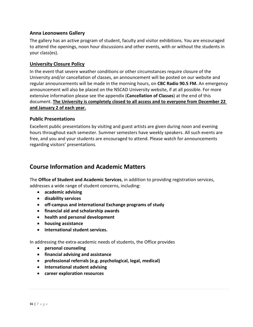#### <span id="page-15-0"></span>**Anna Leonowens Gallery**

The gallery has an active program of student, faculty and visitor exhibitions. You are encouraged to attend the openings, noon hour discussions and other events, with or without the students in your class(es).

#### <span id="page-15-1"></span>**University Closure Policy**

In the event that severe weather conditions or other circumstances require closure of the University and/or cancellation of classes, an announcement will be posted on our website and regular announcements will be made in the morning hours, on **CBC Radio 90.5 FM.** An emergency announcement will also be placed on the NSCAD University website, if at all possible. For more extensive information please see the appendix (**Cancellation of Classes**) at the end of this document. **The University is completely closed to all access and to everyone from December 22 and January 2 of each year.**

#### <span id="page-15-2"></span>**Public Presentations**

Excellent public presentations by visiting and guest artists are given during noon and evening hours throughout each semester. Summer semesters have weekly speakers. All such events are free, and you and your students are encouraged to attend. Please watch for announcements regarding visitors' presentations.

# <span id="page-15-3"></span>**Course Information and Academic Matters**

The **Office of Student and Academic Services**, in addition to providing registration services, addresses a wide range of student concerns, including:

- **academic advising**
- **disability services**
- **off-campus and international Exchange programs of study**
- **financial aid and scholarship awards**
- **health and personal development**
- **housing assistance**
- **international student services.**

In addressing the extra-academic needs of students, the Office provides

- **personal counseling**
- **financial advising and assistance**
- **professional referrals (e.g. psychological, legal, medical)**
- **International student advising**
- **career exploration resources**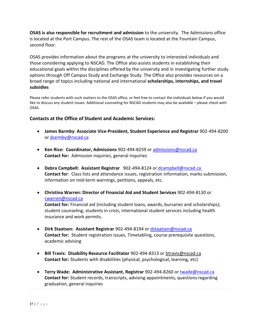**OSAS is also responsible for recruitment and admission** to the university. The Admissions office is located at the Port Campus. The rest of the OSAS team is located at the Fountain Campus, second floor.

OSAS provides information about the programs at the university to interested individuals and those considering applying to NSCAD. The Office also assists students in establishing their educational goals within the disciplines offered by the university and in investigating further study options through Off Campus Study and Exchange Study. The Office also provides resources on a broad range of topics including national and international **scholarships, internships, and travel subsidies**

Please refer students with such matters to the OSAS office, or feel free to contact the individuals below if you would like to discuss any student issues. Additional counseling for NSCAD students may also be available – please check with OSAS.

## <span id="page-16-0"></span>**Contacts at the Office of Student and Academic Services:**

- **James Barmby**: **Associate Vice-President, Student Experience and Registrar** 902-494-8200 or [jbarmby@nscad.ca](mailto:jbarmby@nscad.ca)
- **Ken Rice: Coordinator, Admissions** 902-494-8259 or [admissions@nscad.ca](mailto:admissions@nscad.ca) **Contact for:** Admission inquiries, general inquiries
- **Debra Campbell: Assistant Registrar** 902-494-8124 or [dcampbell@nscad.ca](mailto:dcampbell@nscad.ca) **Contact for**: Class lists and attendance issues, registration information, marks submission, information on mid-term warnings, petitions, appeals, etc.
- **Christina Warren: Director of Financial Aid and Student Services** 902-494-8130 or [cwarren@nscad.ca](mailto:cwarren@nscad.ca)

**Contact for:** Financial aid (including student loans, awards, bursaries and scholarships); student counseling, students in crisis, international student services including health insurance and work permits.

- **Dirk Staatsen: Assistant Registrar** 902-494-8194 or [dstaatsen@nscad.ca](mailto:dstaatsen@nscad.ca) **Contact for:** Student registration issues, Timetabling, course prerequisite questions, academic advising
- **Bill Travis: Disability Resource Facilitator** 902-494-8313 or [btravis@nscad.ca](mailto:btravis@nscad.ca)  **Contact for:** Students with disabilities (physical, psychological, learning, etc)
- **Terry Wade: Administrative Assistant, Registrar** 902-494-8260 or [twade@nscad.ca](mailto:twade@nscad.ca) **Contact for:** Student records, transcripts, advising appointments, questions regarding graduation, general inquiries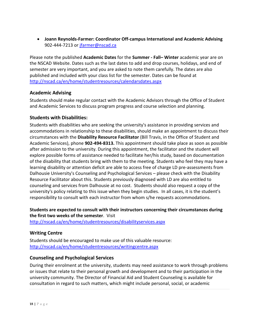• **Joann Reynolds-Farmer: Coordinator Off-campus International and Academic Advising** 902-444-7213 or [jfarmer@nscad.ca](mailto:jfarmer@nscad.ca)

Please note the published **Academic Dates** for the **Summer - Fall– Winter** academic year are on the NSCAD Website. Dates such as the last dates to add and drop courses, holidays, and end of semester are very important, and you are asked to note them carefully. The dates are also published and included with your class list for the semester. Dates can be found at <http://nscad.ca/en/home/studentresources/calendarsdates.aspx>

## <span id="page-17-0"></span>**Academic Advising**

Students should make regular contact with the Academic Advisors through the Office of Student and Academic Services to discuss program progress and course selection and planning.

## <span id="page-17-1"></span>**Students with Disabilities:**

Students with disabilities who are seeking the university's assistance in providing services and accommodations in relationship to these disabilities, should make an appointment to discuss their circumstances with the **Disability Resource Facilitator** (Bill Travis, in the Office of Student and Academic Services), phone **902-494-8313.** This appointment should take place as soon as possible after admission to the university. During this appointment, the facilitator and the student will explore possible forms of assistance needed to facilitate her/his study, based on documentation of the disability that students bring with them to the meeting. Students who feel they may have a learning disability or attention deficit are able to access free of charge LD pre-assessments from Dalhousie University's Counseling and Psychological Services – please check with the Disability Resource Facilitator about this. Students previously diagnosed with LD are also entitled to counseling and services from Dalhousie at no cost. Students should also request a copy of the university's policy relating to this issue when they begin studies. In all cases, it is the student's responsibility to consult with each instructor from whom s/he requests accommodations.

# **Students are expected to consult with their instructors concerning their circumstances during the first two weeks of the semester**. Visit

<span id="page-17-2"></span><http://nscad.ca/en/home/studentresources/disabilityservices.aspx>

# **Writing Centre**

Students should be encouraged to make use of this valuable resource: <http://nscad.ca/en/home/studentresources/writingcentre.aspx>

## <span id="page-17-3"></span>**Counseling and Psychological Services**

During their enrolment at the university, students may need assistance to work through problems or issues that relate to their personal growth and development and to their participation in the university community. The Director of Financial Aid and Student Counseling is available for consultation in regard to such matters, which might include personal, social, or academic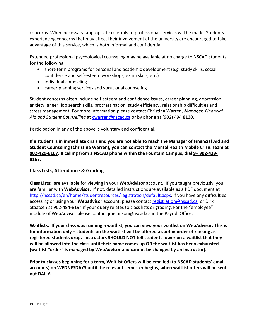concerns. When necessary, appropriate referrals to professional services will be made. Students experiencing concerns that may affect their involvement at the university are encouraged to take advantage of this service, which is both informal and confidential.

Extended professional psychological counseling may be available at no charge to NSCAD students for the following:

- short-term programs for personal and academic development (e.g. study skills, social confidence and self-esteem workshops, exam skills, etc.)
- individual counseling
- career planning services and vocational counseling

Student concerns often include self esteem and confidence issues, career planning, depression, anxiety, anger, job search skills, procrastination, study efficiency, relationship difficulties and stress management. For more information please contact Christina Warren, *Manager, Financial Aid and Student Counselling* at [cwarren@nscad.ca](mailto:cwarren@nscad.ca) or by phone at (902) 494 8130.

Participation in any of the above is voluntary and confidential.

**If a student is in immediate crisis and you are not able to reach the Manager of Financial Aid and Student Counseling (Christina Warren), you can contact the Mental Health Mobile Crisis Team at 902-429-8167. If calling from a NSCAD phone within the Fountain Campus, dial 9+ 902-429- 8167.** 

## <span id="page-18-0"></span>**Class Lists, Attendance & Grading**

**Class Lists:** are available for viewing in your **WebAdvisor** account. If you taught previously, you are familiar with **WebAdvisor.** If not, detailed instructions are available as a PDF document at [http://nscad.ca/en/home/studentresources/registration/default.aspx.](http://nscad.ca/en/home/studentresources/registration/default.aspx) If you have any difficulties accessing or using your **Webadvisor** account, please contact [registration@nscad.ca](mailto:registration@nscad.ca) or Dirk Staatsen at 902-494-8194 if your query relates to class lists or grading. For the "employee" module of WebAdvisor please contact jmelanson@nscad.ca in the Payroll Office.

**Waitlists: If your class was running a waitlist, you can view your waitlist on WebAdvisor. This is for information only – students on the waitlist will be offered a spot in order of ranking as registered students drop. Instructors SHOULD NOT tell students lower on a waitlist that they will be allowed into the class until their name comes up OR the waitlist has been exhausted (waitlist "order" is managed by WebAdvisor and cannot be changed by an instructor).** 

**Prior to classes beginning for a term, Waitlist Offers will be emailed (to NSCAD students' email accounts) on WEDNESDAYS until the relevant semester begins, when waitlist offers will be sent out DAILY.**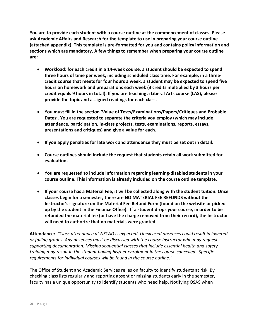**You are to provide each student with a course outline at the commencement of classes. Please ask Academic Affairs and Research for the template to use in preparing your course outline (attached appendix). This template is pre-formatted for you and contains policy information and sections which are mandatory. A few things to remember when preparing your course outline are:**

- **Workload: for each credit in a 14-week course, a student should be expected to spend three hours of time per week, including scheduled class time. For example, in a threecredit course that meets for four hours a week, a student may be expected to spend five hours on homework and preparations each week (3 credits multiplied by 3 hours per credit equals 9 hours in total). If you are teaching a Liberal Arts course (LAS), please provide the topic and assigned readings for each class.**
- **You must fill in the section 'Value of Tests/Examinations/Papers/Critiques and Probable Dates'. You are requested to separate the criteria you employ (which may include attendance, participation, in-class projects, tests, examinations, reports, essays, presentations and critiques) and give a value for each.**
- **If you apply penalties for late work and attendance they must be set out in detail.**
- **Course outlines should include the request that students retain all work submitted for evaluation.**
- **You are requested to include information regarding learning-disabled students in your course outline. This information is already included on the course outline template.**
- **If your course has a Material Fee, it will be collected along with the student tuition. Once classes begin for a semester, there are NO MATERIAL FEE REFUNDS without the Instructor's signature on the Material Fee Refund Form (found on the website or picked up by the student in the Finance Office). If a student drops your course, in order to be refunded the material fee (or have the charge removed from their record), the Instructor will need to authorize that no materials were granted.**

**Attendance:** *"Class attendance at NSCAD is expected. Unexcused absences could result in lowered or failing grades. Any absences must be discussed with the course instructor who may request supporting documentation. Missing sequential classes that include essential health and safety training may result in the student having his/her enrolment in the course cancelled. Specific requirements for individual courses will be found in the course outline."*

The Office of Student and Academic Services relies on faculty to identify students at risk. By checking class lists regularly and reporting absent or missing students early in the semester, faculty has a unique opportunity to identify students who need help. Notifying OSAS when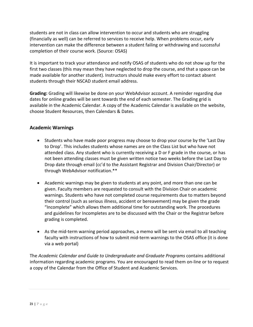students are not in class can allow intervention to occur and students who are struggling (financially as well) can be referred to services to receive help. When problems occur, early intervention can make the difference between a student failing or withdrawing and successful completion of their course work. (Source: OSAS)

It is important to track your attendance and notify OSAS of students who do not show up for the first two classes (this may mean they have neglected to drop the course, and that a space can be made available for another student). Instructors should make every effort to contact absent students through their NSCAD student email address.

**Grading:** Grading will likewise be done on your WebAdvisor account. A reminder regarding due dates for online grades will be sent towards the end of each semester. The Grading grid is available in the Academic Calendar. A copy of the Academic Calendar is available on the website, choose Student Resources, then Calendars & Dates.

## <span id="page-20-0"></span>**Academic Warnings**

- Students who have made poor progress may choose to drop your course by the 'Last Day to Drop'. This includes students whose names are on the Class List but who have not attended class. Any student who is currently receiving a D or F grade in the course, or has not been attending classes must be given written notice two weeks before the Last Day to Drop date through email (cc'd to the Assistant Registrar and Division Chair/Director) or through WebAdvisor notification.\*\*
- Academic warnings may be given to students at any point, and more than one can be given. Faculty members are requested to consult with the Division Chair on academic warnings. Students who have not completed course requirements due to matters beyond their control (such as serious illness, accident or bereavement) may be given the grade "Incomplete" which allows them additional time for outstanding work. The procedures and guidelines for Incompletes are to be discussed with the Chair or the Registrar before grading is completed.
- As the mid-term warning period approaches, a memo will be sent via email to all teaching faculty with instructions of how to submit mid-term warnings to the OSAS office (it is done via a web portal)

The *Academic Calendar and Guide to Undergraduate and Graduate Programs* contains additional information regarding academic programs. You are encouraged to read them on-line or to request a copy of the Calendar from the Office of Student and Academic Services.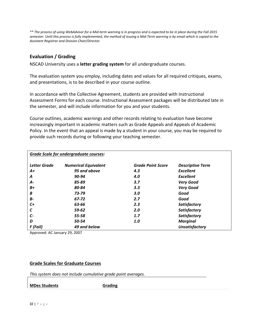*\*\* The process of using WebAdvisor for a Mid-term warning is in progress and is expected to be in place during the Fall 2015 semester. Until this process is fully implemented, the method of issuing a Mid-Term warning is by email which is copied to the Assistant Registrar and Division Chair/Director.*

## <span id="page-21-0"></span>**Evaluation / Grading**

NSCAD University uses a **letter grading system** for all undergraduate courses.

The evaluation system you employ, including dates and values for all required critiques, exams, and presentations, is to be described in your course outline.

In accordance with the Collective Agreement, students are provided with Instructional Assessment Forms for each course. Instructional Assessment packages will be distributed late in the semester, and will include information for you and your students.

Course outlines, academic warnings and other records relating to evaluation have become increasingly important in academic matters such as Grade Appeals and Appeals of Academic Policy. In the event that an appeal is made by a student in your course, you may be required to provide such records during or following your teaching semester.

|                     | <b>Grade Scale for undergraduate courses:</b> |                          |                         |  |  |  |  |  |
|---------------------|-----------------------------------------------|--------------------------|-------------------------|--|--|--|--|--|
| <b>Letter Grade</b> | <b>Numerical Equivalent</b>                   | <b>Grade Point Score</b> | <b>Descriptive Term</b> |  |  |  |  |  |
| A+                  | 95 and above                                  | 4.3                      | Excellent               |  |  |  |  |  |
| A                   | 90-94                                         | 4.0                      | Excellent               |  |  |  |  |  |
| А-                  | 85-89                                         | 3.7                      | <b>Very Good</b>        |  |  |  |  |  |
| $B+$                | 80-84                                         | 3.3                      | <b>Very Good</b>        |  |  |  |  |  |
| B                   | 73-79                                         | 3.0                      | Good                    |  |  |  |  |  |
| <b>B-</b>           | 67-72                                         | 2.7                      | Good                    |  |  |  |  |  |
| C+                  | 63-66                                         | 2.3                      | Satisfactory            |  |  |  |  |  |
| C                   | 59-62                                         | 2.0                      | Satisfactory            |  |  |  |  |  |
| C-                  | 55-58                                         | 1.7                      | Satisfactory            |  |  |  |  |  |
| D                   | 50-54                                         | 1.0                      | <b>Marginal</b>         |  |  |  |  |  |
| F (Fail)            | 49 and below                                  |                          | <b>Unsatisfactory</b>   |  |  |  |  |  |

Approved: AC January 29, 2007

#### **Grade Scales for Graduate Courses**

*This system does not include cumulative grade point averages.*

**MDes Students Grading**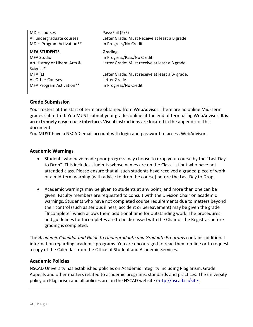MDes courses **Pass/Fail (P/F)** All undergraduate courses Letter Grade: Must Receive at least a B grade MDes Program Activation\*\* In Progress/No Credit **MFA STUDENTS Grading** MFA Studio **In Progress/Pass/No Credit** Art History or Liberal Arts & Science\* Letter Grade: Must receive at least a B grade. MFA (L) Letter Grade: Must receive at least a B- grade. All Other Courses **Letter Grade** MFA Program Activation\*\* In Progress/No Credit

#### <span id="page-22-0"></span>**Grade Submission**

Your rosters at the start of term are obtained from WebAdvisor. There are no online Mid-Term grades submitted. You MUST submit your grades online at the end of term using WebAdvisor. **It is an extremely easy to use interface.** Visual instructions are located in the appendix of this document.

You MUST have a NSCAD email account with login and password to access WebAdvisor.

#### <span id="page-22-1"></span>**Academic Warnings**

- Students who have made poor progress may choose to drop your course by the "Last Day to Drop". This includes students whose names are on the Class List but who have not attended class. Please ensure that all such students have received a graded piece of work or a mid-term warning (with advice to drop the course) before the Last Day to Drop.
- Academic warnings may be given to students at any point, and more than one can be given. Faculty members are requested to consult with the Division Chair on academic warnings. Students who have not completed course requirements due to matters beyond their control (such as serious illness, accident or bereavement) may be given the grade "Incomplete" which allows them additional time for outstanding work. The procedures and guidelines for Incompletes are to be discussed with the Chair or the Registrar before grading is completed.

The *Academic Calendar and Guide to Undergraduate and Graduate Programs* contains additional information regarding academic programs. You are encouraged to read them on-line or to request a copy of the Calendar from the Office of Student and Academic Services.

#### <span id="page-22-2"></span>**Academic Policies**

NSCAD University has established policies on Academic Integrity including Plagiarism, Grade Appeals and other matters related to academic programs, standards and practices. The university policy on Plagiarism and all policies are on the NSCAD website [\(http://nscad.ca/site-](http://nscad.ca/site-nscad/media/nscad/ARR_AcademicIntegrityPolicy.pdf)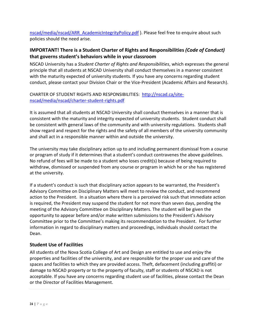[nscad/media/nscad/ARR\\_AcademicIntegrityPolicy.pdf](http://nscad.ca/site-nscad/media/nscad/ARR_AcademicIntegrityPolicy.pdf) ). Please feel free to enquire about such policies should the need arise.

# <span id="page-23-0"></span>**IMPORTANT! There is a Student Charter of Rights and Responsibilities** *(Code of Conduct)* **that governs student's behaviors while in your classroom**

NSCAD University has a *Student Charter of Rights and Responsibilities*, which expresses the general principle that all students at NSCAD University shall conduct themselves in a manner consistent with the maturity expected of university students. If you have any concerns regarding student conduct, please contact your Division Chair or the Vice-President (Academic Affairs and Research).

## CHARTER OF STUDENT RIGHTS AND RESPONSIBILITIES: [http://nscad.ca/site](http://nscad.ca/site-nscad/media/nscad/charter-student-rights.pdf)[nscad/media/nscad/charter-student-rights.pdf](http://nscad.ca/site-nscad/media/nscad/charter-student-rights.pdf)

It is assumed that all students at NSCAD University shall conduct themselves in a manner that is consistent with the maturity and integrity expected of university students. Student conduct shall be consistent with general laws of the community and with university regulations. Students shall show regard and respect for the rights and the safety of all members of the university community and shall act in a responsible manner within and outside the university.

The university may take disciplinary action up to and including permanent dismissal from a course or program of study if it determines that a student's conduct contravenes the above guidelines. No refund of fees will be made to a student who loses credit(s) because of being required to withdraw, dismissed or suspended from any course or program in which he or she has registered at the university.

If a student's conduct is such that disciplinary action appears to be warranted, the President's Advisory Committee on Disciplinary Matters will meet to review the conduct, and recommend action to the President. In a situation where there is a perceived risk such that immediate action is required, the President may suspend the student for not more than seven days, pending the meeting of the Advisory Committee on Disciplinary Matters. The student will be given the opportunity to appear before and/or make written submissions to the President's Advisory Committee prior to the Committee's making its recommendation to the President. For further information in regard to disciplinary matters and proceedings, individuals should contact the Dean.

# <span id="page-23-1"></span>**Student Use of Facilities**

All students of the Nova Scotia College of Art and Design are entitled to use and enjoy the properties and facilities of the university, and are responsible for the proper use and care of the spaces and facilities to which they are provided access. Theft, defacement (including graffiti) or damage to NSCAD property or to the property of faculty, staff or students of NSCAD is not acceptable. If you have any concerns regarding student use of facilities, please contact the Dean or the Director of Facilities Management.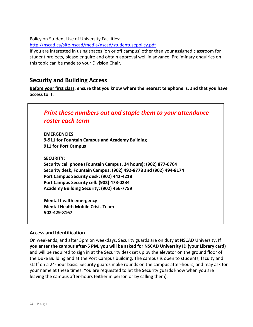Policy on Student Use of University Facilities:

<http://nscad.ca/site-nscad/media/nscad/studentusepolicy.pdf>

If you are interested in using spaces (on or off campus) other than your assigned classroom for student projects, please enquire and obtain approval well in advance. Preliminary enquiries on this topic can be made to your Division Chair.

# <span id="page-24-0"></span>**Security and Building Access**

**Before your first class, ensure that you know where the nearest telephone is, and that you have access to it.**

<span id="page-24-1"></span>

#### <span id="page-24-2"></span>**Access and Identification**

On weekends, and after 5pm on weekdays, Security guards are on duty at NSCAD University**. If you enter the campus after-5 PM, you will be asked for NSCAD University ID (your Library card)** and will be required to sign in at the Security desk set up by the elevator on the ground floor of the Duke Building and at the Port Campus building. The campus is open to students, faculty and staff on a 24-hour basis. Security guards make rounds on the campus after-hours, and may ask for your name at these times. You are requested to let the Security guards know when you are leaving the campus after-hours (either in person or by calling them).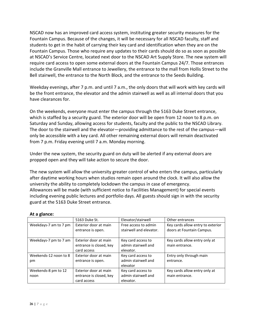NSCAD now has an improved card access system, instituting greater security measures for the Fountain Campus. Because of the changes, it will be necessary for all NSCAD faculty, staff and students to get in the habit of carrying their key card and identification when they are on the Fountain Campus. Those who require any updates to their cards should do so as soon as possible at NSCAD's Service Centre, located next door to the NSCAD Art Supply Store. The new system will require card access to open some external doors at the Fountain Campus 24/7. Those entrances include the Granville Mall entrance to Jewellery, the entrance to the mall from Hollis Street to the Bell stairwell, the entrance to the North Block, and the entrance to the Seeds Building.

Weekday evenings, after 7 p.m. and until 7 a.m., the only doors that will work with key cards will be the front entrance, the elevator and the admin stairwell as well as all internal doors that you have clearances for.

On the weekends, everyone must enter the campus through the 5163 Duke Street entrance, which is staffed by a security guard. The exterior door will be open from 12 noon to 8 p.m. on Saturday and Sunday, allowing access for students, faculty and the public to the NSCAD Library. The door to the stairwell and the elevator—providing admittance to the rest of the campus—will only be accessible with a key card. All other remaining external doors will remain deactivated from 7 p.m. Friday evening until 7 a.m. Monday morning.

Under the new system, the security guard on duty will be alerted if any external doors are propped open and they will take action to secure the door.

The new system will allow the university greater control of who enters the campus, particularly after daytime working hours when studios remain open around the clock. It will also allow the university the ability to completely lockdown the campus in case of emergency. Allowances will be made (with sufficient notice to Facilities Management) for special events including evening public lectures and portfolio days. All guests should sign in with the security guard at the 5163 Duke Street entrance.

|  |  | At a glance: |
|--|--|--------------|
|--|--|--------------|

|                       | 5163 Duke St.           | Elevator/stairwell      | Other entrances                   |  |
|-----------------------|-------------------------|-------------------------|-----------------------------------|--|
| Weekdays-7 am to 7 pm | Exterior door at main   | Free access to admin    | Key cards allow entry to exterior |  |
|                       | entrance is open.       | stairwell and elevator. | doors at Fountain Campus.         |  |
|                       |                         |                         |                                   |  |
| Weekdays-7 pm to 7 am | Exterior door at main   | Key card access to      | Key cards allow entry only at     |  |
|                       | entrance is closed, key | admin stairwell and     | main entrance.                    |  |
|                       | card access             | elevator.               |                                   |  |
| Weekends-12 noon to 8 | Exterior door at main   | Key card access to      | Entry only through main           |  |
| pm                    | entrance is open.       | admin stairwell and     | entrance.                         |  |
|                       |                         | elevator                |                                   |  |
| Weekends-8 pm to 12   | Exterior door at main   | Key card access to      | Key cards allow entry only at     |  |
| noon                  | entrance is closed, key | admin stairwell and     | main entrance.                    |  |
|                       | card access             | elevator.               |                                   |  |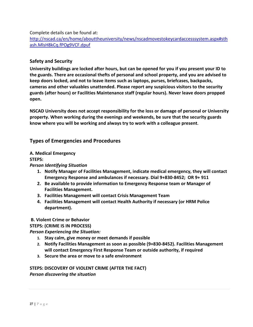Complete details can be found at:

[http://nscad.ca/en/home/abouttheuniversity/news/nscadmovestokeycardaccesssystem.aspx#sth](http://nscad.ca/en/home/abouttheuniversity/news/nscadmovestokeycardaccesssystem.aspx#sthash.MlsH8kCq.fPOg9VCF.dpuf) [ash.MlsH8kCq.fPOg9VCF.dpuf](http://nscad.ca/en/home/abouttheuniversity/news/nscadmovestokeycardaccesssystem.aspx#sthash.MlsH8kCq.fPOg9VCF.dpuf)

#### <span id="page-26-0"></span>**Safety and Security**

**University buildings are locked after hours, but can be opened for you if you present your ID to the guards. There are occasional thefts of personal and school property, and you are advised to keep doors locked, and not to leave items such as laptops, purses, briefcases, backpacks, cameras and other valuables unattended. Please report any suspicious visitors to the security guards (after hours) or Facilities Maintenance staff (regular hours). Never leave doors propped open.**

**NSCAD University does not accept responsibility for the loss or damage of personal or University property. When working during the evenings and weekends, be sure that the security guards know where you will be working and always try to work with a colleague present.**

## **Types of Emergencies and Procedures**

#### **A. Medical Emergency**

**STEPS:**

#### *Person Identifying Situation*

- **1. Notify Manager of Facilities Management, indicate medical emergency, they will contact Emergency Response and ambulances if necessary. Dial 9+830-8452; OR 9+ 911**
- **2. Be available to provide information to Emergency Response team or Manager of Facilities Management.**
- **3. Facilities Management will contact Crisis Management Team**
- **4. Facilities Management will contact Health Authority if necessary (or HRM Police department).**

#### **B. Violent Crime or Behavior**

#### **STEPS: (CRIME IS IN PROCESS)**

*Person Experiencing the Situation:*

- **1. Stay calm, give money or meet demands if possible**
- **2. Notify Facilities Management as soon as possible (9+830-8452). Facilities Management will contact Emergency First Response Team or outside authority, if required**
- **3. Secure the area or move to a safe environment**

**STEPS: DISCOVERY OF VIOLENT CRIME (AFTER THE FACT)** *Person discovering the situation*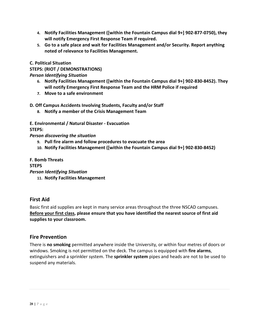- **4. Notify Facilities Management ([within the Fountain Campus dial 9+] 902-877-0750), they will notify Emergency First Response Team if required.**
- **5. Go to a safe place and wait for Facilities Management and/or Security. Report anything noted of relevance to Facilities Management.**

**C. Political Situation**

**STEPS: (RIOT / DEMONSTRATIONS)**

*Person Identifying Situation*

- **6. Notify Facilities Management ([within the Fountain Campus dial 9+] 902-830-8452). They will notify Emergency First Response Team and the HRM Police if required**
- **7. Move to a safe environment**

#### **D***.* **Off Campus Accidents Involving Students, Faculty and/or Staff**

- **8. Notify a member of the Crisis Management Team**
- **E. Environmental / Natural Disaster - Evacuation**

**STEPS:**

*Person discovering the situation*

- **9. Pull fire alarm and follow procedures to evacuate the area**
- **10. Notify Facilities Management ([within the Fountain Campus dial 9+] 902-830-8452)**

#### **F. Bomb Threats**

#### **STEPS**

*Person Identifying Situation*

**11. Notify Facilities Management**

## <span id="page-27-0"></span>**First Aid**

Basic first aid supplies are kept in many service areas throughout the three NSCAD campuses. **Before your first class, please ensure that you have identified the nearest source of first aid supplies to your classroom.** 

## <span id="page-27-1"></span>**Fire Prevention**

There is **no smoking** permitted anywhere inside the University, or within four metres of doors or windows. Smoking is not permitted on the deck. The campus is equipped with **fire alarms**, extinguishers and a sprinkler system. The **sprinkler system** pipes and heads are not to be used to suspend any materials.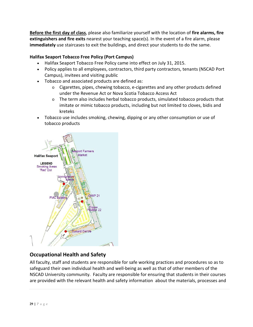**Before the first day of class**, please also familiarize yourself with the location of **fire alarms, fire extinguishers and fire exits** nearest your teaching space(s). In the event of a fire alarm, please **immediately** use staircases to exit the buildings, and direct your students to do the same.

## **Halifax Seaport Tobacco Free Policy (Port Campus)**

- Halifax Seaport Tobacco Free Policy came into effect on July 31, 2015.
- Policy applies to all employees, contractors, third party contractors, tenants (NSCAD Port Campus), invitees and visiting public
- Tobacco and associated products are defined as:
	- $\circ$  Cigarettes, pipes, chewing tobacco, e-cigarettes and any other products defined under the Revenue Act or Nova Scotia Tobacco Access Act
	- $\circ$  The term also includes herbal tobacco products, simulated tobacco products that imitate or mimic tobacco products, including but not limited to cloves, bidis and kreteks
- Tobacco use includes smoking, chewing, dipping or any other consumption or use of tobacco products



# <span id="page-28-0"></span>**Occupational Health and Safety**

All faculty, staff and students are responsible for safe working practices and procedures so as to safeguard their own individual health and well-being as well as that of other members of the NSCAD University community. Faculty are responsible for ensuring that students in their courses are provided with the relevant health and safety information about the materials, processes and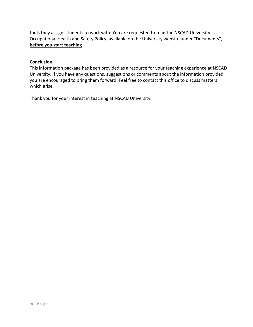tools they assign students to work with. You are requested to read the NSCAD University Occupational Health and Safety Policy, available on the University website under "Documents", **before you start teaching**

#### **Conclusion**

This information package has been provided as a resource for your teaching experience at NSCAD University. If you have any questions, suggestions or comments about the information provided, you are encouraged to bring them forward. Feel free to contact this office to discuss matters which arise.

Thank you for your interest in teaching at NSCAD University.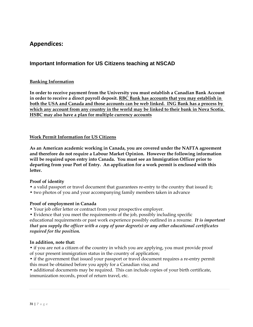# <span id="page-30-0"></span>**Appendices:**

# <span id="page-30-1"></span>**Important Information for US Citizens teaching at NSCAD**

#### **Banking Information**

**In order to receive payment from the University you must establish a Canadian Bank Account in order to receive a direct payroll deposit. RBC Bank has accounts that you may establish in both the USA and Canada and those accounts can be web linked. ING Bank has a process by which any account from any country in the world may be linked to their bank in Nova Scotia. HSBC may also have a plan for multiple currency accounts**

#### **Work Permit Information for US Citizens**

**As an American academic working in Canada, you are covered under the NAFTA agreement and therefore do not require a Labour Market Opinion. However the following information will be required upon entry into Canada. You must see an Immigration Officer prior to departing from your Port of Entry. An application for a work permit is enclosed with this letter.**

#### **Proof of identity**

- a valid passport or travel document that guarantees re-entry to the country that issued it;
- two photos of you and your accompanying family members taken in advance

#### **Proof of employment in Canada**

• Your job offer letter or contract from your prospective employer.

• Evidence that you meet the requirements of the job, possibly including specific educational requirements or past work experience possibly outlined in a resume. *It is important that you supply the officer with a copy of your degree(s) or any other educational certificates required for the position.*

#### **In addition, note that:**

• if you are not a citizen of the country in which you are applying, you must provide proof of your present immigration status in the country of application;

• if the government that issued your passport or travel document requires a re-entry permit this must be obtained before you apply for a Canadian visa; and

• additional documents may be required. This can include copies of your birth certificate, immunization records, proof of return travel, etc.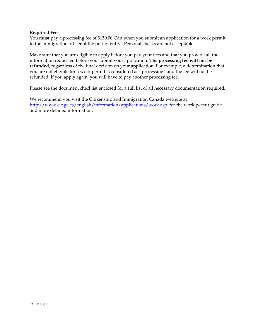#### **Required Fees**

You **must** pay a processing fee of \$150.00 Cdn when you submit an application for a work permit to the immigration officer at the port of entry. Personal checks are not acceptable.

Make sure that you are eligible to apply before you pay your fees and that you provide all the information requested before you submit your application. **The processing fee will not be refunded**, regardless of the final decision on your application. For example, a determination that you are not eligible for a work permit is considered as "processing" and the fee will not be refunded. If you apply again, you will have to pay another processing fee.

Please see the document checklist enclosed for a full list of all necessary documentation required.

We recommend you visit the Citizenship and Immigration Canada web site at <http://www.cic.gc.ca/english/information/applications/work.asp> for the work permit guide and more detailed information.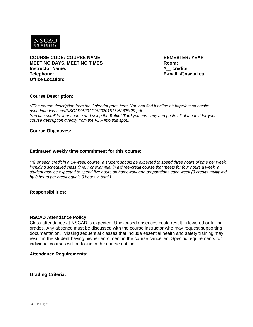

<span id="page-32-0"></span>**COURSE CODE: COURSE NAME SEMESTER: YEAR MEETING DAYS, MEETING TIMES Room: Instructor Name: Telephone: E-mail: @nscad.ca Office Location:**

#### **Course Description:**

*\*(The course description from the Calendar goes here. You can find it online at: [http://nscad.ca/site](http://nscad.ca/site-nscad/media/nscad/NSCAD%20AC%20201516%282%29.pdf)[nscad/media/nscad/NSCAD%20AC%20201516%282%29.pdf](http://nscad.ca/site-nscad/media/nscad/NSCAD%20AC%20201516%282%29.pdf)*

*You can scroll to your course and using the Select Tool you can copy and paste all of the text for your course description directly from the PDF into this spot.)* 

#### **Course Objectives:**

#### **Estimated weekly time commitment for this course:**

*\*\*(For each credit in a 14-week course, a student should be expected to spend three hours of time per week, including scheduled class time. For example, in a three-credit course that meets for four hours a week, a student may be expected to spend five hours on homework and preparations each week (3 credits multiplied by 3 hours per credit equals 9 hours in total.)*

#### **Responsibilities:**

#### **NSCAD Attendance Policy**

Class attendance at NSCAD is expected. Unexcused absences could result in lowered or failing grades. Any absence must be discussed with the course instructor who may request supporting documentation. Missing sequential classes that include essential health and safety training may result in the student having his/her enrolment in the course cancelled. Specific requirements for individual courses will be found in the course outline.

#### **Attendance Requirements:**

**Grading Criteria:**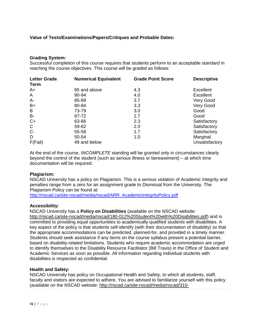#### **Value of Tests/Examinations/Papers/Critiques and Probable Dates:**

#### **Grading System:**

Successful completion of this course requires that students perform to an acceptable standard in reaching the course objectives. This course will be graded as follows:

| <b>Letter Grade</b><br><b>Term</b> | <b>Numerical Equivalent</b> | <b>Grade Point Score</b> | <b>Descriptive</b> |
|------------------------------------|-----------------------------|--------------------------|--------------------|
| $A+$                               | 95 and above                | 4.3                      | Excellent          |
| A                                  | 90-94                       | 4.0                      | Excellent          |
| $A -$                              | 85-89                       | 3.7                      | Very Good          |
| $B+$                               | 80-84                       | 3.3                      | Very Good          |
| B                                  | 73-79                       | 3.0                      | Good               |
| <b>B-</b>                          | 67-72                       | 2.7                      | Good               |
| $C+$                               | 63-66                       | 2.3                      | Satisfactory       |
| $\mathsf{C}$                       | 59-62                       | 2.0                      | Satisfactory       |
| $C -$                              | 55-58                       | 1.7                      | Satisfactory       |
| D                                  | 50-54                       | 1.0                      | Marginal           |
| F(Fail)                            | 49 and below                |                          | Unsatisfactory     |

At the end of the course, *INCOMPLETE* standing will be granted only in circumstances clearly beyond the control of the student (such as serious illness or bereavement) – at which time documentation will be required.

#### **Plagiarism:**

NSCAD University has a policy on Plagiarism. This is a serious violation of Academic Integrity and penalties range from a zero for an assignment grade to Dismissal from the University. The Plagiarism Policy can be found at:

[http://nscad.ca/site-nscad/media/nscad/ARR\\_AcademicIntegrityPolicy.pdf](http://nscad.ca/site-nscad/media/nscad/ARR_AcademicIntegrityPolicy.pdf)

#### **Accessibility:**

NSCAD University has a **Policy on Disabilities** (available on the NSCAD website: [http://nscad.ca/site-nscad/media/nscad/180-012%20Student%20with%20Disabilities.pdf\)](http://nscad.ca/site-nscad/media/nscad/180-012%20Student%20with%20Disabilities.pdf) and is committed to providing equal opportunities to academically qualified students with disabilities. A key aspect of the policy is that students self-identify (with their documentation of disability) so that the appropriate accommodations can be predicted, planned-for, and provided in a timely manner. Students should seek assistance if any items on the course syllabus present a potential barrier, based on disability-related limitations. Students who require academic accommodation are urged to identify themselves to the Disability Resource Facilitator (Bill Travis) in the Office of Student and Academic Services as soon as possible. All information regarding individual students with disabilities is respected as confidential.

#### **Health and Safety:**

NSCAD University has policy on Occupational Health and Safety, to which all students, staff, faculty and visitors are expected to adhere. You are advised to familiarize yourself with this policy (available on the NSCAD website: [http://nscad.ca/site-nscad/media/nscad/310-](http://nscad.ca/site-nscad/media/nscad/310-006%20Occupational%20Health%20&%20Safety%281%29.pdf)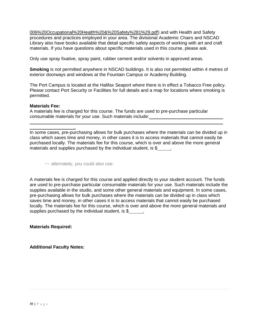[006%20Occupational%20Health%20&%20Safety%281%29.pdf\)](http://nscad.ca/site-nscad/media/nscad/310-006%20Occupational%20Health%20&%20Safety%281%29.pdf) and with Health and Safety procedures and practices employed in your area. The divisional Academic Chairs and NSCAD Library also have books available that detail specific safety aspects of working with art and craft materials. If you have questions about specific materials used in this course, please ask.

Only use spray fixative, spray paint, rubber cement and/or solvents in approved areas.

**Smoking** is not permitted anywhere in NSCAD buildings. It is also not permitted within 4 metres of exterior doorways and windows at the Fountain Campus or Academy Building.

The Port Campus is located at the Halifax Seaport where there is in effect a Tobacco Free policy. Please contact Port Security or Facilities for full details and a map for locations where smoking is permitted.

#### **Materials Fee:**

A materials fee is charged for this course. The funds are used to pre-purchase particular consumable materials for your use. Such materials include:

In some cases, pre-purchasing allows for bulk purchases where the materials can be divided up in class which saves time and money, in other cases it is to access materials that cannot easily be purchased locally. The materials fee for this course, which is over and above the more general materials and supplies purchased by the individual student, is \$ ...

~~ alternately, you could also use:

.

A materials fee is charged for this course and applied directly to your student account. The funds are used to pre-purchase particular consumable materials for your use. Such materials include the supplies available in the studio, and some other general materials and equipment. In some cases, pre-purchasing allows for bulk purchases where the materials can be divided up in class which saves time and money, in other cases it is to access materials that cannot easily be purchased locally. The materials fee for this course, which is over and above the more general materials and supplies purchased by the individual student, is \$

**Materials Required:**

**Additional Faculty Notes:**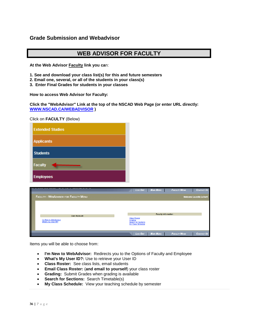## <span id="page-35-0"></span>**Grade Submission and Webadvisor**

# **WEB ADVISOR FOR FACULTY**

**At the Web Advisor Faculty link you ca**n:

- **1. See and download your class list(s) for this and future semesters**
- **2. Email one, several, or all of the students in your class(s)**
- **3. Enter Final Grades for students in your classes**

**How to access Web Advisor for Faculty:**

**Click the "WebAdvisor" Link at the top of the NSCAD Web Page (or enter URL directly: [WWW.NSCAD.CA/WEBADVISOR](http://www.nscad.ca/WEBADVISOR) )**

Click on **FACULTY** (Below)

| <b>Extended Studies</b> |
|-------------------------|
| <b>Applicants</b>       |
| <b>Students</b>         |
| <b>Faculty</b>          |
| <b>Employees</b>        |

|                                              | Los Out                                         | <b>MAIN MENU</b>           | <b>FACULTY MENU</b> | <b>CONTACT US</b>               |
|----------------------------------------------|-------------------------------------------------|----------------------------|---------------------|---------------------------------|
| <b>FACULTY - WEBADVISOR FOR FACULTY MENU</b> |                                                 |                            |                     | <b>Welcome Laurelle LeVert!</b> |
|                                              |                                                 |                            |                     |                                 |
|                                              |                                                 |                            |                     |                                 |
|                                              |                                                 | <b>Faculty Information</b> |                     |                                 |
| <b>User Account</b>                          | <b>Class Roster</b>                             |                            |                     |                                 |
| I'm New to WebAdvisor<br>What's my User ID?  | Grading                                         |                            |                     |                                 |
|                                              | <b>Search for Sections</b><br>My Class Schedule |                            |                     |                                 |
|                                              |                                                 |                            |                     |                                 |
|                                              |                                                 |                            |                     |                                 |
|                                              | Log Out                                         | <b>MAIN MENU</b>           | <b>FACULTY MENU</b> | <b>CONTACT US</b>               |

Items you will be able to choose from:

- **I'm New to WebAdvisor:** Redirects you to the Options of Faculty and Employee
- **What's My User ID?:** Use to retrieve your User ID
- **Class Roster:** See class lists, email students
- **Email Class Roster:** (**and email to yourself**) your class roster
- **Grading:** Submit Grades when grading is available
- **Search for Sections:** Search Timetable(s)
- **My Class Schedule:** View your teaching schedule by semester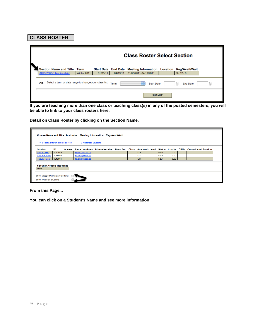# **CLASS ROSTER**

| k                                                                                                                                          | <b>Class Roster Select Section</b> |             |          |          |                                                                 |  |        |  |  |  |
|--------------------------------------------------------------------------------------------------------------------------------------------|------------------------------------|-------------|----------|----------|-----------------------------------------------------------------|--|--------|--|--|--|
|                                                                                                                                            | Section Name and Title Term        |             |          |          | Start Date End Date Meeting Information Location Reg/Avail/Wait |  |        |  |  |  |
|                                                                                                                                            | AHIS-2600-1 Medieval Art           | Winter 2011 | 01/05/11 | 04/19/11 | 01/05/2011-04/19/2011                                           |  | 3/12/0 |  |  |  |
| Select a term or date range to change your class list<br>Term<br>÷<br>G<br>OR:<br><b>Start Date</b><br><b>End Date</b><br>$ \ddot{\cdot} $ |                                    |             |          |          |                                                                 |  |        |  |  |  |
| <b>SUBMIT</b>                                                                                                                              |                                    |             |          |          |                                                                 |  |        |  |  |  |

**If you are teaching more than one class or teaching class(s) in any of the posted semesters, you will be able to link to your class rosters here.**

**Detail on Class Roster by clicking on the Section Name.**

|                                                                    | Course Name and Title Instructor Meeting Information Reg/Avail/Wait                                             |  |                       |  |  |  |           |            |      |  |  |  |
|--------------------------------------------------------------------|-----------------------------------------------------------------------------------------------------------------|--|-----------------------|--|--|--|-----------|------------|------|--|--|--|
| <-- Select a different course section                              |                                                                                                                 |  | E-Mail these Students |  |  |  |           |            |      |  |  |  |
| <b>Student</b>                                                     | ID<br>Access E-mail Address Phone Number Pass Aud Class Academic Level Status Credits CEUs Cross-Listed Section |  |                       |  |  |  |           |            |      |  |  |  |
| Artiste, Sally                                                     | 0015903                                                                                                         |  | llevert@nscad.ca      |  |  |  | <b>UG</b> | <b>New</b> | 3.00 |  |  |  |
| Sequitur, Nona                                                     | 0015905                                                                                                         |  | llevert@nscad.ca      |  |  |  | <b>UG</b> | New        | 3.00 |  |  |  |
| Tabula, Rasa                                                       | 0015904                                                                                                         |  | llevert@nscad.ca      |  |  |  | <b>UG</b> | <b>New</b> | 3.00 |  |  |  |
| <b>Security Access Messages</b><br>None                            |                                                                                                                 |  |                       |  |  |  |           |            |      |  |  |  |
| Show Dropped/Withdrawn Students<br><b>Show Waitlisted Students</b> |                                                                                                                 |  |                       |  |  |  |           |            |      |  |  |  |

**From this Page...**

**You can click on a Student's Name and see more information:**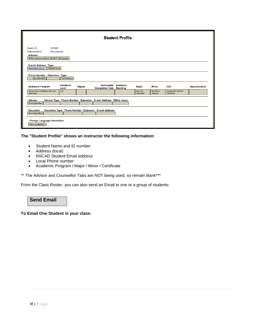|                                                                                                                                |                                                  |                                                                 | <b>Student Profile</b> |                                |                                     |                                                       |                       |
|--------------------------------------------------------------------------------------------------------------------------------|--------------------------------------------------|-----------------------------------------------------------------|------------------------|--------------------------------|-------------------------------------|-------------------------------------------------------|-----------------------|
| 0015905<br>Student ID<br><b>Preferred Name</b><br>Nona Sequitur<br><b>Address</b><br>5678 Irrelevancy Drive, NS B1P 1X2 Canada |                                                  |                                                                 |                        |                                |                                     |                                                       |                       |
| <b>E-mail Address Type</b><br><b>NSCAD Email</b><br>llevert@nscad.ca<br>Phone Number Extension Type<br>902-539-0000            |                                                  |                                                                 |                        |                                |                                     |                                                       |                       |
| <b>Academic Program</b><br>Visual Arts Certificate, Non-Art<br><b>UG</b><br><b>Specialist</b>                                  | Home Phone<br>Academic<br><b>Degree</b><br>Level | <b>Anticipated</b><br><b>Completion Date Standing</b>           | Academic               | Major<br>Non-Art<br>Specialist | <b>Minor</b><br>No Minor<br>Allowed | <b>CCD</b><br>Visual Arts Cert for<br><b>Teachers</b> | <b>Specialization</b> |
| <b>Advisor</b><br>None Specified                                                                                               |                                                  | Advisor Type Phone Number Extension E-mail Address Office Hours |                        |                                |                                     |                                                       |                       |
| <b>Counselor</b><br>None Specified                                                                                             |                                                  | Counselor Type Phone Number Extension E-mail Address            |                        |                                |                                     |                                                       |                       |
| Foreign Language Information<br>None available                                                                                 |                                                  |                                                                 |                        |                                |                                     |                                                       |                       |

#### **The "Student Profile" shows an instructor the following information:**

- Student Name and ID number
- Address (local)
- NSCAD Student Email address
- Local Phone number
- Academic Program / Major / Minor / Certificate

\*\* The Advisor and Counsellor Tabs are NOT being used, so remain blank\*\*\*

From the Class Roster, you can also send an Email to one or a group of students:

# **Send Email**

**To Email One Student in your class:**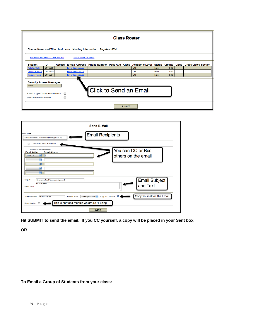|                                                                    |         |                          |                                                                     |                               | <b>Class Roster</b> |               |           |            |      |                                                                                                           |
|--------------------------------------------------------------------|---------|--------------------------|---------------------------------------------------------------------|-------------------------------|---------------------|---------------|-----------|------------|------|-----------------------------------------------------------------------------------------------------------|
|                                                                    |         |                          | Course Name and Title Instructor Meeting Information Reg/Avail/Wait |                               |                     |               |           |            |      |                                                                                                           |
| <-- Select a different course section                              |         |                          | <b>E-Mail these Students</b>                                        |                               |                     |               |           |            |      |                                                                                                           |
| <b>Student</b>                                                     | ID      |                          |                                                                     |                               |                     |               |           |            |      | Access E-mail Address Phone Number Pass Aud Class Academic Level Status Credits CEUs Cross-Listed Section |
| Artiste, Sally                                                     | 0015903 |                          | llevert@nscad.ca                                                    |                               |                     |               | <b>UG</b> | <b>New</b> | 3.00 |                                                                                                           |
| Sequitur, Nona                                                     | 0015905 |                          | llevert@nscad.ca                                                    |                               |                     |               | UG        | <b>New</b> | 3.00 |                                                                                                           |
| Tabula, Rasa                                                       | 0015904 |                          | llevert@nscad.ca                                                    |                               |                     |               | <b>UG</b> | <b>New</b> | 3.00 |                                                                                                           |
| <b>Security Access Messages</b><br>None                            |         |                          |                                                                     |                               |                     |               |           |            |      |                                                                                                           |
| Show Dropped/Withdrawn Students<br><b>Show Waitlisted Students</b> |         | $\overline{\phantom{a}}$ |                                                                     | <b>Click to Send an Email</b> |                     |               |           |            |      |                                                                                                           |
|                                                                    |         |                          |                                                                     |                               |                     |               |           |            |      |                                                                                                           |
|                                                                    |         |                          |                                                                     |                               |                     | <b>SUBMIT</b> |           |            |      |                                                                                                           |

| <b>Send E-Mail</b>                                                                                                                                             |
|----------------------------------------------------------------------------------------------------------------------------------------------------------------|
| $=$ Required<br><b>Email Recipients</b><br>Sally Artiste (llevert@nscad.ca)<br>E-mail Recipients:                                                              |
| Blind Copy (BCC) all recipients<br>⊓                                                                                                                           |
| You can CC or Bcc<br>Additional E-mail Addressees:<br><b>E-mail Action</b><br><b>E-mail Address</b><br>others on the email<br>F<br>Copy To<br>÷<br>÷<br>÷<br>Ŧ |
| <b>Email Subject</b><br>Subject:*<br>Regarding Next Week's Assignment<br><b>Dear Student</b><br>and Text<br>E-mail Text*<br>$\cdots$                           |
| Copy Yourself on the Email<br>⊠<br>Copy (CC) yourself<br>llevert@nscad.ca :<br>Sender's E-mail<br>Sender's Name<br><b>Laurelle LeVert</b>                      |
| This is part of a module we are NOT using<br><b>Record Contact</b>                                                                                             |
| <b>SUBMIT</b>                                                                                                                                                  |

**Hit SUBMIT to send the email. If you CC yourself, a copy will be placed in your Sent box.**

**OR**

#### **To Email a Group of Students from your class:**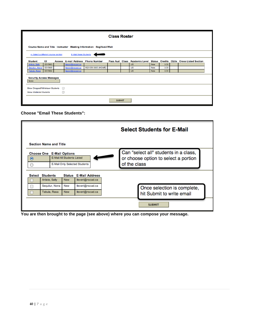|                                         | <b>Class Roster</b> |   |                                    |                                                                     |               |  |           |            |      |                                                                        |  |
|-----------------------------------------|---------------------|---|------------------------------------|---------------------------------------------------------------------|---------------|--|-----------|------------|------|------------------------------------------------------------------------|--|
|                                         |                     |   |                                    | Course Name and Title Instructor Meeting Information Reg/Avail/Wait |               |  |           |            |      |                                                                        |  |
| <-- Select a different course section   |                     |   | <b>E-Mail these Students</b>       |                                                                     |               |  |           |            |      |                                                                        |  |
| <b>Student</b>                          | ID                  |   | Access E-mail Address Phone Number |                                                                     |               |  |           |            |      | Pass Aud Class Academic Level Status Credits CEUs Cross-Listed Section |  |
| Artiste, Sally                          | 0015903             |   | llevert@nscad.ca                   |                                                                     |               |  | UG.       | <b>New</b> | 3.00 |                                                                        |  |
| Sequitur, Nona                          | 0015905             |   | llevert@nscad.ca                   | 902-539-0000 (HOME)                                                 |               |  | <b>UG</b> | <b>New</b> | 3.00 |                                                                        |  |
| Tabula, Rasa                            | 0015904             |   | llevert@nscad.ca                   |                                                                     |               |  | <b>UG</b> | <b>New</b> | 3.00 |                                                                        |  |
| <b>Security Access Messages</b><br>None |                     |   |                                    |                                                                     |               |  |           |            |      |                                                                        |  |
| Show Dropped/Withdrawn Students         |                     | ⊟ |                                    |                                                                     |               |  |           |            |      |                                                                        |  |
| Show Waitlisted Students                |                     | □ |                                    |                                                                     |               |  |           |            |      |                                                                        |  |
|                                         |                     |   |                                    |                                                                     | <b>SUBMIT</b> |  |           |            |      |                                                                        |  |

**Choose "Email These Students":**

|               |                 |                               |                                                                |                               | <b>Select Students for E-Mail</b>                                                             |
|---------------|-----------------|-------------------------------|----------------------------------------------------------------|-------------------------------|-----------------------------------------------------------------------------------------------|
|               |                 | <b>Section Name and Title</b> |                                                                |                               |                                                                                               |
| $\odot$<br>∩  |                 |                               | <b>Choose One</b> E-Mail Options<br>E-Mail All Students Listed | E-Mail Only Selected Students | Can "select all" students in a class,<br>or choose option to select a portion<br>of the class |
| <b>Select</b> | <b>Students</b> |                               | <b>Status</b>                                                  | <b>E-Mail Address</b>         |                                                                                               |
|               | Artiste, Sally  |                               | <b>New</b>                                                     | llevert@nscad.ca              |                                                                                               |
| ⊟             |                 | Sequitur, Nona                | New                                                            | llevert@nscad.ca              | Once selection is complete,                                                                   |
|               |                 | Tabula, Rasa                  | <b>New</b>                                                     | llevert@nscad.ca              | hit Submit to write email                                                                     |
|               |                 |                               |                                                                |                               | <b>SUBMIT</b>                                                                                 |

**You are then brought to the page (see above) where you can compose your message.**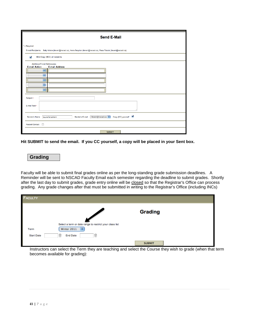| <b>Send E-Mail</b>                                                                                                                      |
|-----------------------------------------------------------------------------------------------------------------------------------------|
| $*$ = Required<br>E-mail Recipients: Sally Artiste (llevert@nscad.ca), Nona Sequitur (llevert@nscad.ca), Rasa Tabula (llevert@nscad.ca) |
| Blind Copy (BCC) all recipients<br>V                                                                                                    |
| Additional E-mail Addressees:<br><b>E-mail Action</b><br><b>E-mail Address</b>                                                          |
| F<br>÷                                                                                                                                  |
| ₽<br>F                                                                                                                                  |
| $\overline{\mathbf{F}}$                                                                                                                 |
| Subject:*                                                                                                                               |
| E-mail Text*                                                                                                                            |
| Copy (CC) yourself<br>llevert@nscad.ca :<br>Sender's Name<br>Sender's E-mail<br><b>Laurelle LeVert</b>                                  |
| <b>Record Contact</b><br>E                                                                                                              |
| <b>SUBMIT</b>                                                                                                                           |

**Hit SUBMIT to send the email. If you CC yourself, a copy will be placed in your Sent box.**

## **Grading**

Faculty will be able to submit final grades online as per the long-standing grade submission deadlines. A Reminder will be sent to NSCAD Faculty Email each semester regarding the deadline to submit grades. Shortly after the last day to submit grades, grade entry online will be closed so that the Registrar's Office can process grading. Any grade changes after that must be submitted in writing to the Registrar's Office (including INCs)

| <b>FACULTY</b>    |                                                                                                                              |
|-------------------|------------------------------------------------------------------------------------------------------------------------------|
|                   | <b>Grading</b>                                                                                                               |
| Term              | Select a term or date range to restrict your class list<br>Winter 2011                                                       |
| <b>Start Date</b> | Ռ<br>୲<br><b>End Date</b>                                                                                                    |
|                   | <b>SUBMIT</b><br>laatu istana saa salaat tha Taxaa thaysana taashiina saal salaat tha Osiyaa thayyyigh ta syada (whan that t |

Instructors can select the Term they are teaching and select the Course they wish to grade (when that term becomes available for grading):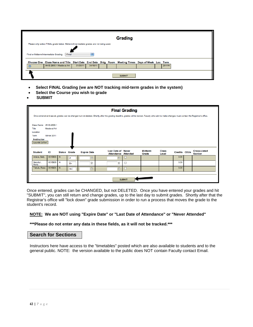|                                                                                       | <b>Grading</b>                                                                                    |       |
|---------------------------------------------------------------------------------------|---------------------------------------------------------------------------------------------------|-------|
| Please only select FINAL grade below. Midterm/Intermediate grades are not being used. |                                                                                                   |       |
|                                                                                       |                                                                                                   |       |
|                                                                                       |                                                                                                   |       |
| Final<br>Final or Midterm/Intermediate Grading                                        |                                                                                                   |       |
|                                                                                       | Choose One Class Name and Title Start Date End Date Bldg Room Meeting Times Days of Week Loc Term |       |
| AHIS-2600-1 Medieval Art                                                              | 04/19/11<br>01/05/11                                                                              | 2011W |

- **Select FINAL Grading (we are NOT tracking mid-term grades in the system)**
- **Select the Course you wish to grade**
- • **SUBMIT**

|                               |              |                     |            |                                                     |                                                                                                                                                                                                 | <b>Final Grading</b> |                         |                       |                     |                                       |
|-------------------------------|--------------|---------------------|------------|-----------------------------------------------------|-------------------------------------------------------------------------------------------------------------------------------------------------------------------------------------------------|----------------------|-------------------------|-----------------------|---------------------|---------------------------------------|
|                               |              |                     |            |                                                     | Once entered and saved, grades can be changed but not deleted. Shortly after the grading deadline, grades will be locked. Faculty who wish to make changes must contact the Registrar's office. |                      |                         |                       |                     |                                       |
| Class Name AHIS-2600-1        |              |                     |            |                                                     |                                                                                                                                                                                                 |                      |                         |                       |                     |                                       |
| Title                         | Medieval Art |                     |            |                                                     |                                                                                                                                                                                                 |                      |                         |                       |                     |                                       |
| Location                      |              |                     |            |                                                     |                                                                                                                                                                                                 |                      |                         |                       |                     |                                       |
| Term                          | Winter 2011  |                     |            |                                                     |                                                                                                                                                                                                 |                      |                         |                       |                     |                                       |
| Instructor<br>Laurelle LeVert |              |                     |            |                                                     |                                                                                                                                                                                                 |                      |                         |                       |                     |                                       |
| <b>Student</b>                | ID           | <b>Status</b> Grade |            | <b>Expire Date</b>                                  | <b>Last Date of Never</b><br><b>Attendance Attended</b>                                                                                                                                         |                      | <b>Midterm</b><br>Grade | <b>Class</b><br>Level | <b>Credits CEUs</b> | <b>Cross-Listed</b><br><b>Section</b> |
| Artiste, Sally                | 0015903 N    |                     | A          | $\left[ \begin{matrix} 0 \\ 1 \end{matrix} \right]$ | $\boxed{2}$                                                                                                                                                                                     | □                    |                         |                       | 3.00                |                                       |
| Sequitur,<br>Nona             | 0015905 N    |                     | $B +$      | Θ                                                   | $\left[\frac{1}{2}\right]$                                                                                                                                                                      | e                    |                         |                       | 3.00                |                                       |
| Tabula, Rasa                  | 0015904      | $\mathsf{N}$        | <b>INC</b> | $\left[ \begin{matrix} 1 \\ 1 \end{matrix} \right]$ | $\boxed{3}$                                                                                                                                                                                     | $\Box$               |                         |                       | 3.00                |                                       |
|                               |              |                     |            |                                                     |                                                                                                                                                                                                 |                      |                         |                       |                     |                                       |
|                               |              |                     |            |                                                     |                                                                                                                                                                                                 | <b>SUBMIT</b>        |                         |                       |                     |                                       |

Once entered, grades can be CHANGED, but not DELETED. Once you have entered your grades and hit "SUBMIT", you can still return and change grades, up to the last day to submit grades. Shortly after that the Registrar's office will "lock down" grade submission in order to run a process that moves the grade to the student's record.

#### **NOTE: We are NOT using "Expire Date" or "Last Date of Attendance" or "Never Attended"**

#### **\*\*\*Please do not enter any data in these fields, as it will not be tracked.\*\*\***

#### **Search for Sections**

Instructors here have access to the "timetables" posted which are also available to students and to the general public. NOTE: the version available to the public does NOT contain Faculty contact Email.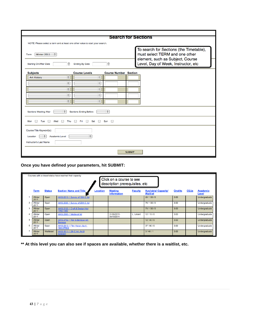|                                                                                           |                                            | <b>Search for Sections</b>       |               |                                                                                                               |
|-------------------------------------------------------------------------------------------|--------------------------------------------|----------------------------------|---------------|---------------------------------------------------------------------------------------------------------------|
| NOTE: Please select a term and at least one other value to start your search.             |                                            |                                  |               |                                                                                                               |
| Winter 2011 $\div$<br>Term                                                                |                                            |                                  |               | To search for Sections (the Timetable),<br>must select TERM and one other<br>element, such as Subject, Course |
| Starting On/After Date<br>A                                                               | <b>Ending By Date</b>                      | $\overline{G}$                   |               | Level, Day of Week, Instructor, etc                                                                           |
| <b>Subjects</b>                                                                           | <b>Course Levels</b>                       | <b>Course Number Section</b>     |               |                                                                                                               |
| $\div$<br>Art History                                                                     | $\div$                                     |                                  |               |                                                                                                               |
| ÷                                                                                         | ÷                                          |                                  |               |                                                                                                               |
| ÷                                                                                         | $\div$                                     |                                  |               |                                                                                                               |
| $\div$                                                                                    | $\div$                                     |                                  |               |                                                                                                               |
| ÷                                                                                         | ÷                                          |                                  |               |                                                                                                               |
| $\div$<br><b>Sections Meeting After</b>                                                   | <b>Sections Ending Before</b>              | $\left(\frac{\tau}{\tau}\right)$ |               |                                                                                                               |
| Tue<br>Mon<br>н<br>$\Box$<br>Wed<br>Thu                                                   | Fri<br>$\Box$ Sat $\Box$<br>$\blacksquare$ | Sun $\Box$                       |               |                                                                                                               |
| Course Title Keyword(s)<br>$\div$<br>Academic Level<br>Location<br>Instructor's Last Name | $\div$                                     |                                  |               |                                                                                                               |
|                                                                                           |                                            |                                  | <b>SUBMIT</b> |                                                                                                               |

**Once you have defined your parameters, hit SUBMIT:**

|   |                |               | Courses with a closed status have reached their capacity. |                 | Click on a course to see<br>description prerequisites, etc |                |                                                |                |             |                          |
|---|----------------|---------------|-----------------------------------------------------------|-----------------|------------------------------------------------------------|----------------|------------------------------------------------|----------------|-------------|--------------------------|
|   | <b>Term</b>    | <b>Status</b> | <b>Section Name and Title</b>                             | <b>Location</b> | <b>Meeting</b><br><b>Information</b>                       | <b>Faculty</b> | <b>Available/ Capacity/</b><br><b>Waitlist</b> | <b>Credits</b> | <b>CEUs</b> | <b>Academic</b><br>Level |
|   | Winter<br>2011 | Open          | AHIS-2010-1 Survey of 19th C Art                          |                 |                                                            |                | 20/130/0                                       | 3.00           |             | Undergraduate            |
| 2 | Winter<br>2011 | Open          | AHIS-2020-1 Survey of 20th C Art                          |                 |                                                            |                | 79/130/0                                       | 3.00           |             | Undergraduate            |
| ٩ | Winter<br>2011 | Open          | AHIS-2120-1 Craft & Design Hist<br>1750-1950              |                 |                                                            |                | 73/130/0                                       | 3.00           |             | Undergraduate            |
|   | Winter<br>2011 | Open          | AHIS-2600-1 Medieval Art                                  |                 | 01/05/2011-<br>04/19/2011                                  | L. LeVert      | 12/15/0                                        | 3.00           |             | Undergraduate            |
| 5 | Winter<br>2011 | Open          | AHIS-2702-1 Ren & Baroque Art:<br><b>Baroque</b>          |                 |                                                            |                | 12/40/0                                        | 3.00           |             | Undergraduate            |
|   | Winter<br>2011 | Open          | AHIS-2810-1 Film History &crit:<br><b>1940-PRES</b>       |                 |                                                            |                | 37/80/0                                        | 3.00           |             | Undergraduate            |
|   | Winter<br>2011 | Waitlisted    | AHIS-3011-1 2th C Art: Art &<br>Activism                  |                 |                                                            |                | 3/40/1                                         | 3.00           |             | Undergraduate            |

**\*\* At this level you can also see if spaces are available, whether there is a waitlist, etc.**